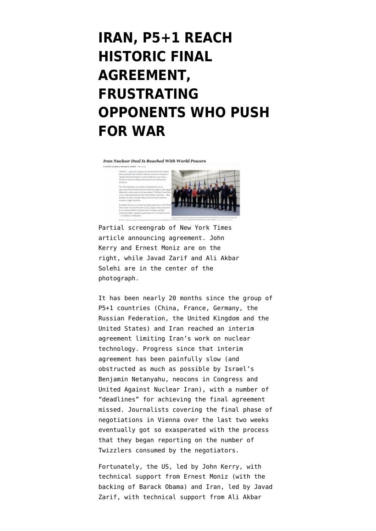# **[IRAN, P5+1 REACH](https://www.emptywheel.net/2015/07/14/iran-p51-reach-historic-final-agreement-frustrating-opponents-who-push-for-war/) [HISTORIC FINAL](https://www.emptywheel.net/2015/07/14/iran-p51-reach-historic-final-agreement-frustrating-opponents-who-push-for-war/) [AGREEMENT,](https://www.emptywheel.net/2015/07/14/iran-p51-reach-historic-final-agreement-frustrating-opponents-who-push-for-war/) [FRUSTRATING](https://www.emptywheel.net/2015/07/14/iran-p51-reach-historic-final-agreement-frustrating-opponents-who-push-for-war/) [OPPONENTS WHO PUSH](https://www.emptywheel.net/2015/07/14/iran-p51-reach-historic-final-agreement-frustrating-opponents-who-push-for-war/) [FOR WAR](https://www.emptywheel.net/2015/07/14/iran-p51-reach-historic-final-agreement-frustrating-opponents-who-push-for-war/)**

Iran Nuclear Deal Is Reached With World Powers





Partial screengrab of New York Times article announcing agreement. John Kerry and Ernest Moniz are on the right, while Javad Zarif and Ali Akbar Solehi are in the center of the photograph.

It has been nearly 20 months since the group of P5+1 countries (China, France, Germany, the Russian Federation, the United Kingdom and the United States) and Iran reached an [interim](https://www.emptywheel.net/2013/11/24/historic-p51-interim-agreement-with-iran-buys-time-for-permanent-solution/) [agreement](https://www.emptywheel.net/2013/11/24/historic-p51-interim-agreement-with-iran-buys-time-for-permanent-solution/) limiting Iran's work on nuclear technology. Progress since that interim agreement has been painfully slow (and obstructed as much as possible by Israel's Benjamin Netanyahu, neocons in Congress and [United Against Nuclear Iran](https://www.emptywheel.net/tag/uani/)), with a number of "deadlines" for achieving the final agreement missed. Journalists covering the final phase of negotiations in Vienna over the last two weeks eventually got so exasperated with the process that they began reporting on the [number of](https://www.bostonglobe.com/news/world/2015/07/07/twizzlers-string-cheese-and-mixed-nuts-large-quantities-fuel-iran-nuclear-negotiators/zun8dliHFISaCV8yzrTVNO/story.html#) [Twizzlers consumed](https://www.bostonglobe.com/news/world/2015/07/07/twizzlers-string-cheese-and-mixed-nuts-large-quantities-fuel-iran-nuclear-negotiators/zun8dliHFISaCV8yzrTVNO/story.html#) by the negotiators.

Fortunately, the US, led by John Kerry, with technical support from Ernest Moniz (with the backing of Barack Obama) and Iran, led by Javad Zarif, with technical support from Ali Akbar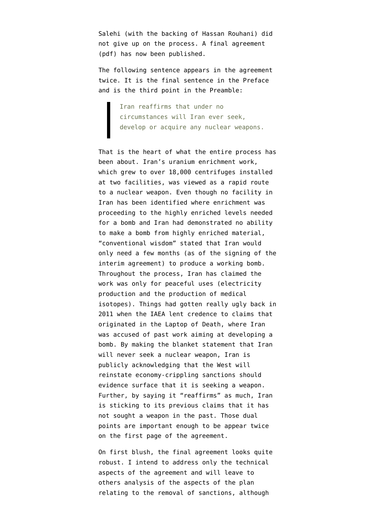Salehi (with the backing of Hassan Rouhani) did not give up on the process. A [final agreement](https://s3.amazonaws.com/s3.documentcloud.org/documents/2165388/iran-deal-text.pdf) (pdf) has now been published.

The following sentence appears in the agreement twice. It is the final sentence in the Preface and is the third point in the Preamble:

> Iran reaffirms that under no circumstances will Iran ever seek, develop or acquire any nuclear weapons.

That is the heart of what the entire process has been about. Iran's uranium enrichment work, which grew to over 18,000 centrifuges installed at two facilities, was viewed as a rapid route to a nuclear weapon. Even though no facility in Iran has been identified where enrichment was proceeding to the highly enriched levels needed for a bomb and Iran had demonstrated no ability to make a bomb from highly enriched material, "conventional wisdom" stated that Iran would only need a few months (as of the signing of the interim agreement) to produce a working bomb. Throughout the process, Iran has claimed the work was only for peaceful uses (electricity production and the production of medical isotopes). Things had gotten really ugly back in 2011 when the IAEA lent credence to claims that originated in the [Laptop of Death,](https://www.emptywheel.net/tag/laptop-of-death/) where Iran was accused of past work aiming at developing a bomb. By making the blanket statement that Iran will never seek a nuclear weapon, Iran is publicly acknowledging that the West will reinstate economy-crippling sanctions should evidence surface that it is seeking a weapon. Further, by saying it "reaffirms" as much, Iran is sticking to its previous claims that it has not sought a weapon in the past. Those dual points are important enough to be appear twice on the first page of the agreement.

On first blush, the final agreement looks quite robust. I intend to address only the technical aspects of the agreement and will leave to others analysis of the aspects of the plan relating to the removal of sanctions, although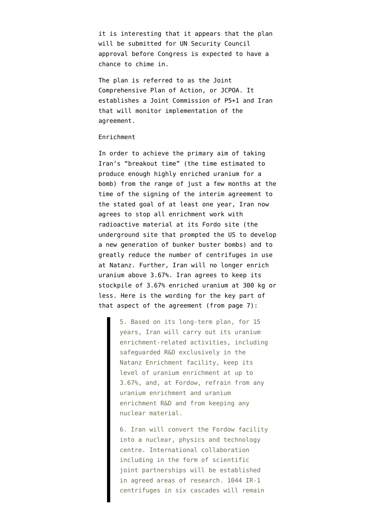it is interesting that it appears that the plan will be submitted for UN Security Council approval before Congress is expected to have a chance to chime in.

The plan is referred to as the Joint Comprehensive Plan of Action, or JCPOA. It establishes a Joint Commission of P5+1 and Iran that will monitor implementation of the agreement.

## Enrichment

In order to achieve the primary aim of taking Iran's "breakout time" (the time estimated to produce enough highly enriched uranium for a bomb) from the range of just a few months at the time of the signing of the interim agreement to the stated goal of at least one year, Iran now agrees to stop all enrichment work with radioactive material at its Fordo site (the underground site that prompted the US to develop a new generation of bunker buster bombs) and to greatly reduce the number of centrifuges in use at Natanz. Further, Iran will no longer enrich uranium above 3.67%. Iran agrees to keep its stockpile of 3.67% enriched uranium at 300 kg or less. Here is the wording for the key part of that aspect of the agreement (from page 7):

> 5. Based on its long-term plan, for 15 years, Iran will carry out its uranium enrichment-related activities, including safeguarded R&D exclusively in the Natanz Enrichment facility, keep its level of uranium enrichment at up to 3.67%, and, at Fordow, refrain from any uranium enrichment and uranium enrichment R&D and from keeping any nuclear material.

> 6. Iran will convert the Fordow facility into a nuclear, physics and technology centre. International collaboration including in the form of scientific joint partnerships will be established in agreed areas of research. 1044 IR-1 centrifuges in six cascades will remain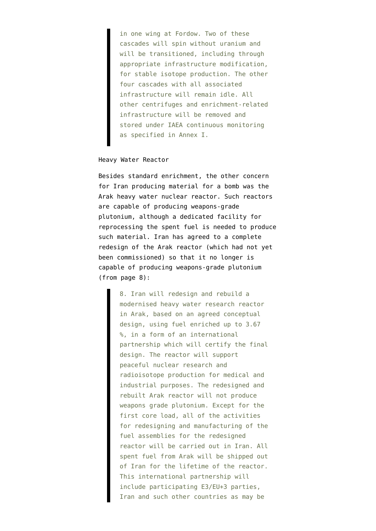in one wing at Fordow. Two of these cascades will spin without uranium and will be transitioned, including through appropriate infrastructure modification, for stable isotope production. The other four cascades with all associated infrastructure will remain idle. All other centrifuges and enrichment-related infrastructure will be removed and stored under IAEA continuous monitoring as specified in Annex I.

### Heavy Water Reactor

Besides standard enrichment, the other concern for Iran producing material for a bomb was the Arak heavy water nuclear reactor. Such reactors are capable of producing weapons-grade plutonium, although a dedicated facility for reprocessing the spent fuel is needed to produce such material. Iran has agreed to a complete redesign of the Arak reactor (which had not yet been commissioned) so that it no longer is capable of producing weapons-grade plutonium (from page 8):

> 8. Iran will redesign and rebuild a modernised heavy water research reactor in Arak, based on an agreed conceptual design, using fuel enriched up to 3.67 %, in a form of an international partnership which will certify the final design. The reactor will support peaceful nuclear research and radioisotope production for medical and industrial purposes. The redesigned and rebuilt Arak reactor will not produce weapons grade plutonium. Except for the first core load, all of the activities for redesigning and manufacturing of the fuel assemblies for the redesigned reactor will be carried out in Iran. All spent fuel from Arak will be shipped out of Iran for the lifetime of the reactor. This international partnership will include participating E3/EU+3 parties, Iran and such other countries as may be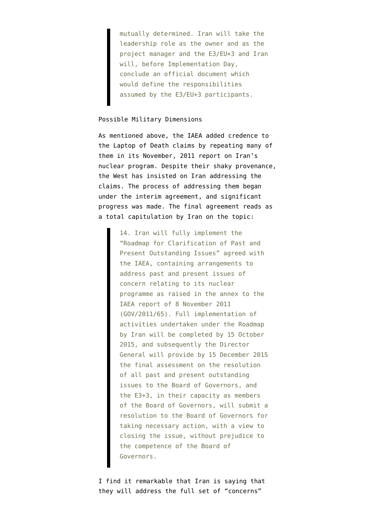mutually determined. Iran will take the leadership role as the owner and as the project manager and the E3/EU+3 and Iran will, before Implementation Day, conclude an official document which would define the responsibilities assumed by the E3/EU+3 participants.

#### Possible Military Dimensions

As mentioned above, the IAEA added credence to the Laptop of Death claims by repeating many of them in its November, 2011 report on Iran's nuclear program. Despite their shaky provenance, the West has insisted on Iran addressing the claims. The process of addressing them began under the interim agreement, and [significant](http://armscontrolnow.org/2014/05/23/iaea-reports-progress-on-questions-about-irans-nuclear-program-compliance-with-jpoa/) [progress was made.](http://armscontrolnow.org/2014/05/23/iaea-reports-progress-on-questions-about-irans-nuclear-program-compliance-with-jpoa/) The final agreement reads as a total capitulation by Iran on the topic:

> 14. Iran will fully implement the "Roadmap for Clarification of Past and Present Outstanding Issues" agreed with the IAEA, containing arrangements to address past and present issues of concern relating to its nuclear programme as raised in the annex to the IAEA report of 8 November 2011 (GOV/2011/65). Full implementation of activities undertaken under the Roadmap by Iran will be completed by 15 October 2015, and subsequently the Director General will provide by 15 December 2015 the final assessment on the resolution of all past and present outstanding issues to the Board of Governors, and the E3+3, in their capacity as members of the Board of Governors, will submit a resolution to the Board of Governors for taking necessary action, with a view to closing the issue, without prejudice to the competence of the Board of Governors.

I find it remarkable that Iran is saying that they will address the full set of "concerns"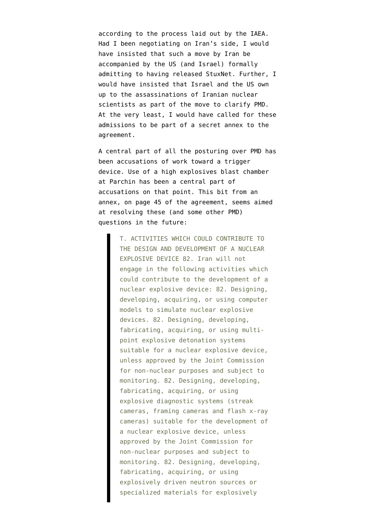according to the process laid out by the IAEA. Had I been negotiating on Iran's side, I would have insisted that such a move by Iran be accompanied by the US (and Israel) formally admitting to having released StuxNet. Further, I would have insisted that Israel and the US own up to the assassinations of Iranian nuclear scientists as part of the move to clarify PMD. At the very least, I would have called for these admissions to be part of a secret annex to the agreement.

A central part of all the posturing over PMD has been accusations of work toward a trigger device. Use of a high explosives blast chamber at [Parchin](https://www.emptywheel.net/tag/parchin/) has been a central part of accusations on that point. This bit from an annex, on page 45 of the agreement, seems aimed at resolving these (and some other PMD) questions in the future:

> T. ACTIVITIES WHICH COULD CONTRIBUTE TO THE DESIGN AND DEVELOPMENT OF A NUCLEAR EXPLOSIVE DEVICE 82. Iran will not engage in the following activities which could contribute to the development of a nuclear explosive device: 82. Designing, developing, acquiring, or using computer models to simulate nuclear explosive devices. 82. Designing, developing, fabricating, acquiring, or using multipoint explosive detonation systems suitable for a nuclear explosive device, unless approved by the Joint Commission for non-nuclear purposes and subject to monitoring. 82. Designing, developing, fabricating, acquiring, or using explosive diagnostic systems (streak cameras, framing cameras and flash x-ray cameras) suitable for the development of a nuclear explosive device, unless approved by the Joint Commission for non-nuclear purposes and subject to monitoring. 82. Designing, developing, fabricating, acquiring, or using explosively driven neutron sources or specialized materials for explosively